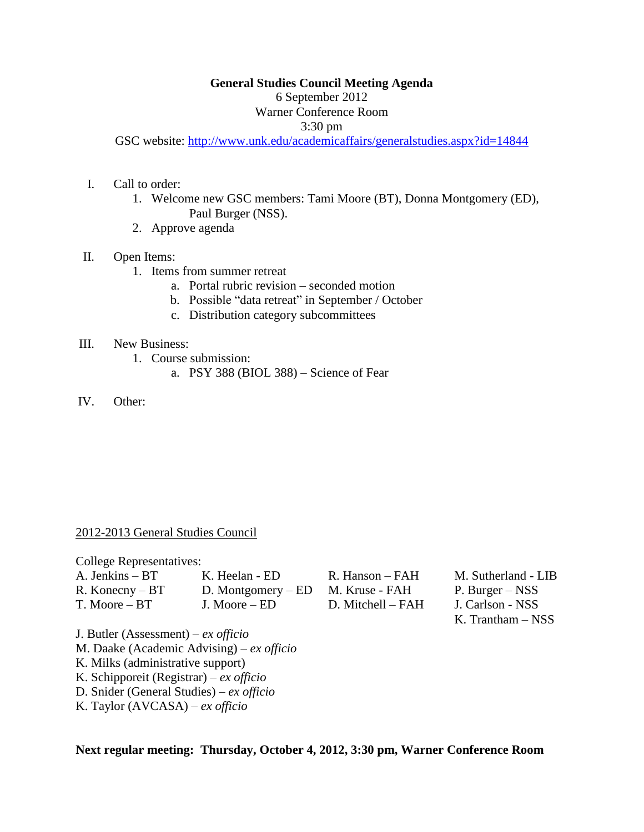### **General Studies Council Meeting Agenda**

6 September 2012

# Warner Conference Room

#### 3:30 pm

GSC website:<http://www.unk.edu/academicaffairs/generalstudies.aspx?id=14844>

- I. Call to order:
	- 1. Welcome new GSC members: Tami Moore (BT), Donna Montgomery (ED), Paul Burger (NSS).
	- 2. Approve agenda
- II. Open Items:
	- 1. Items from summer retreat
		- a. Portal rubric revision seconded motion
		- b. Possible "data retreat" in September / October
		- c. Distribution category subcommittees

#### III. New Business:

- 1. Course submission:
	- a. PSY 388 (BIOL 388) Science of Fear
- IV. Other:

## 2012-2013 General Studies Council

College Representatives:

| A. Jenkins – BT   | K. Heelan - ED       | R.  |
|-------------------|----------------------|-----|
| $R.$ Konecny – BT | D. Montgomery $-$ ED | - M |
| T. Moore – BT     | J. Moore $-$ ED      | D   |

R. Hanson – FAH I. Kruse - FAH D. Mitchell – FAH

M. Sutherland - LIB P. Burger – NSS J. Carlson - NSS K. Trantham – NSS

J. Butler (Assessment) – *ex officio* M. Daake (Academic Advising) – *ex officio* K. Milks (administrative support)

- K. Schipporeit (Registrar) *ex officio*
- D. Snider (General Studies) *ex officio*
- K. Taylor (AVCASA) *ex officio*

**Next regular meeting: Thursday, October 4, 2012, 3:30 pm, Warner Conference Room**